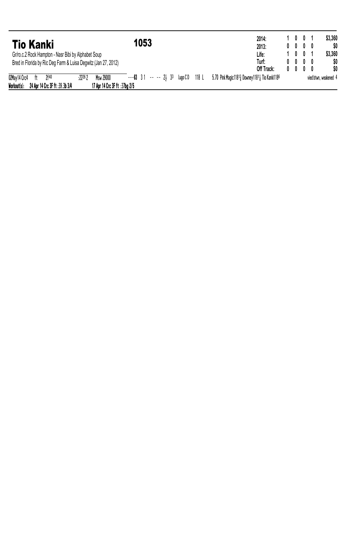| <b>Tio Kanki</b>                                               | 1053                                                                                                        | 2014:<br>2013: | 1001<br>$0\quad 0\quad 0\quad 0\quad$ |  | \$3,360<br>SO.        |
|----------------------------------------------------------------|-------------------------------------------------------------------------------------------------------------|----------------|---------------------------------------|--|-----------------------|
| Gr/ro.c.2 Rock Hampton - Nasr Bibi by Alphabet Soup            |                                                                                                             | Life:          | 1 0 0 1                               |  | \$3,360               |
| Bred in Florida by Ric Deg Farm & Luisa Degwitz (Jan 27, 2012) |                                                                                                             | Turf:          | $0\quad 0\quad 0\quad 0\quad$         |  | \$0                   |
|                                                                |                                                                                                             | Off Track:     | $0\quad 0\quad 0\quad 0\quad$         |  | \$O                   |
| 02May 14 Crc4 ft<br><b>2f40</b>                                | ---63 31 -- -- 24 33 Lugo CD 118 L 5.70 Pink Magic 11813 Downey 11814 Tio Kanki 1186<br>:22262<br>Msw 29000 |                |                                       |  | vied btwn, weakened 4 |
| Workout(s):<br>24 Apr 14 Crc 3F ft :39.3b 3/4                  | 17 Apr 14 Crc 3F ft :37ba 2/5                                                                               |                |                                       |  |                       |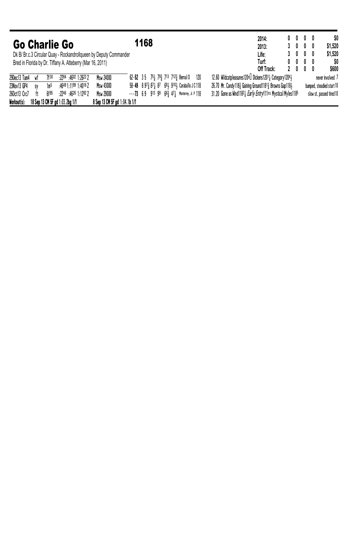| Go Charlie Go   |           |                                 |                          |                                                                   | 1168 |  |                                                |     |  | 2014:<br>2013:                                                      | $0\ 0\ 0\ 0$<br>3000          |  | \$0<br>\$1.520            |
|-----------------|-----------|---------------------------------|--------------------------|-------------------------------------------------------------------|------|--|------------------------------------------------|-----|--|---------------------------------------------------------------------|-------------------------------|--|---------------------------|
|                 |           |                                 |                          | Dk B/ Br.c.3 Circular Quay - Rockandrollqueen by Deputy Commander |      |  |                                                |     |  | Life:                                                               | 3000                          |  | \$1.520                   |
|                 |           |                                 |                          | Bred in Florida by Dr. Tiffany A. Atteberry (Mar 16, 2011)        |      |  |                                                |     |  | Turf:                                                               | $0\quad 0\quad 0\quad 0\quad$ |  | SO.                       |
|                 |           |                                 |                          |                                                                   |      |  |                                                |     |  | Off Track:                                                          | 2000                          |  | \$600                     |
| 29Dec13 Tam4 wf |           | 7f30                            | :2284 :4602 1:2622 2     | Msw 24000                                                         |      |  | $62 - 52$ 35 75 79 713 712 Bernal 0            | 120 |  | 12.60 Wildcatpleasures120nu Dickens12011 Category12041              |                               |  | never involved 7          |
| 23Nov13 GP4     | <b>SV</b> | 1m <sup>5</sup>                 | :46491:11991:40162       | Msw 43000                                                         |      |  | 58-49 8 973 871 87 681 9101 Caraballo J C 118  |     |  | 26.70 Mr. Candy118} Gaining Ground1181} Browns Gap118}              |                               |  | bumped, steadied start 10 |
| 260ct13 Crc7    | ft        | fif 85                          | $:2246$ $:4626$ 1:1282 2 | Msw 29000                                                         |      |  | $---73$ 69 913 99 663 471 Monterrey, Jr. P 118 |     |  | 31.20 Gone as Wind11821 <i>Early Entry</i> 11ns Mystical Myles 1185 |                               |  | slow st, passed tired 10  |
| Markout(s)      |           | 18 Sep 13 CM 5F ad 1:03 2ba 1/1 |                          | 8 Sep 13 CM 5F ad 1:04 1b 1/1                                     |      |  |                                                |     |  |                                                                     |                               |  |                           |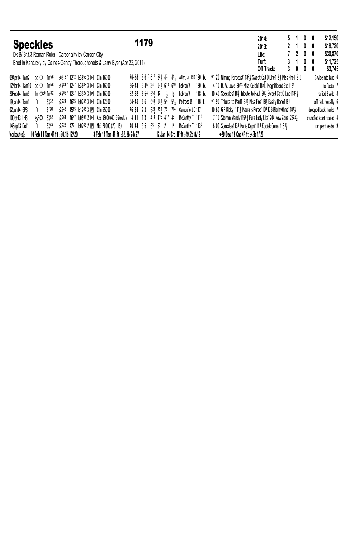| <b>Speckles</b>                                       |                                  |                   |  |                                                                             |                            | 1179 |                 |  |                                                                                 |        |  |                                                                                                  | 2014:<br>2013: |            |        | 5 1<br>2 1 0 0 | $0\quad 0$                           | \$12,150<br>\$18,720      |
|-------------------------------------------------------|----------------------------------|-------------------|--|-----------------------------------------------------------------------------|----------------------------|------|-----------------|--|---------------------------------------------------------------------------------|--------|--|--------------------------------------------------------------------------------------------------|----------------|------------|--------|----------------|--------------------------------------|---------------------------|
| Dk B/ Br.f.3 Roman Ruler - Carsonality by Carson City |                                  |                   |  |                                                                             |                            |      |                 |  |                                                                                 |        |  |                                                                                                  | Life:          |            |        | 7200           |                                      | \$30,870                  |
|                                                       |                                  |                   |  | Bred in Kentucky by Gaines-Gentry Thoroughbreds & Larry Byer (Apr 22, 2011) |                            |      |                 |  |                                                                                 |        |  |                                                                                                  | Turf:          | Off Track: | 3<br>3 | -1             | $0\quad 0$<br>$0\quad 0\quad 0\quad$ | \$11,725<br>\$3,745       |
| 09Apr14 Tam2                                          | ad O                             | 1 <sub>m</sub> 56 |  | :4618 1:1212 1:3855 3 $E$ Clm 16000                                         |                            |      |                 |  | 76-56 3 610 512 521 43 441 Allen, Jr. RD 120 bl.                                |        |  | *1.20 Winning Forecast11824 Sweet Cat O Line1184 Miss Fire11814                                  |                |            |        |                |                                      | 3 wide into lane 6        |
| 12Mar14 Tam10 gd <sup>1</sup> 1m <sup>56</sup>        |                                  |                   |  | :47811:1277 1:3883 3 $E$ Clm 16000                                          | 86-44 345 34 674 613 619   |      |                 |  | Lebron V                                                                        | 120 bl |  | 4.10 B. A. Love12013 Miss Celeb118nu Megnificent Exe1183                                         |                |            |        |                |                                      | no factor 7               |
| 20Feb14 Tam9                                          | $fm$ (f) $30 \, 1m82$            |                   |  | :4706 1:1237 1:3927 3 $E$ Clm 16000                                         | $82 - 62$ 654 554 42 14 14 |      |                 |  | Lebron V                                                                        | 118 bL |  | 10.40 Speckles118 <sup>3</sup> Tribute to Paul120 <sub>3</sub> Sweet Cat 0 Line1182 <sub>3</sub> |                |            |        |                |                                      | rallied 3 wide 8          |
| 19Jan14 Tam1                                          | ft                               | 5%35              |  | $:22^{24}$ $:46^{95}$ 1:0735 3 $E$ Clm 12500                                |                            |      |                 |  | $64-46$ 66 $54\frac{1}{2}$ $63\frac{1}{2}$ $54$ $54\frac{1}{2}$ Pedroza B 118 L |        |  | *1.90 Tribute to Paul11814 Miss Fire1184 Easily Done1181                                         |                |            |        |                |                                      | off rail, no rally 6      |
| 02Jan14 GP3                                           | ft                               | 6f20              |  | $:22^{46}$ $:45^{65}$ 1:1286 3 E Clm 25000                                  | 76-39 23 524 754 79 714    |      |                 |  | Caraballo J C 117                                                               |        |  | 10.60 G P Ricky 11411 Maura's Purse 1101 K B Biorhythms 11811                                    |                |            |        |                |                                      | dropped back, faded 7     |
| 100ct13 Lr13                                          | sv <sup>s</sup> Ø                | 5%55              |  | :2261 :4647 1:0508 2 $E$ Aoc 35000 (40-35)nw1/x 4-11 13                     |                            |      | 414 415 417 431 |  | McCarthy T 1115                                                                 |        |  | 7.10 Stormin Wendy11563 Pure Lady Like1202 New Zone122221                                        |                |            |        |                |                                      | stumbled start, trailed 4 |
| 14Sep13 De11                                          | ft                               | 5%64              |  | $:22^{26}$ $:47^{71}$ 1:0763 2 E Mcl 20000 (20-15)                          | 40-44 95 55 53 21 14       |      |                 |  | McCarthy T 1135                                                                 |        |  | 6.00 Speckles1134 Marie Capri1111 Kodiak Comet11311                                              |                |            |        |                |                                      | ran past leader 9         |
| Workout(s):                                           | 10 Feb 14 Tam 4F ft :50.1b 12/20 |                   |  | 3 Feb 14 Tam 4F ft :52.3b 24/27                                             |                            |      |                 |  | 12 Jan 14 Crc 4F ft :49.2b 8/19                                                 |        |  | •29 Dec 13 Crc 4F ft :48b 1/23                                                                   |                |            |        |                |                                      |                           |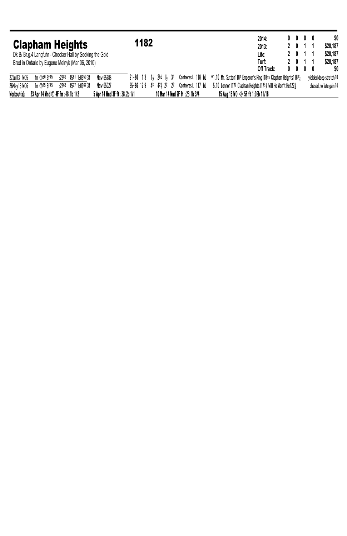|              |                                  |                                                          |                               |      |                        |                                | 2014:                                                                                                     | $0\quad 0\quad 0\quad 0\quad$ |            | \$0                     |
|--------------|----------------------------------|----------------------------------------------------------|-------------------------------|------|------------------------|--------------------------------|-----------------------------------------------------------------------------------------------------------|-------------------------------|------------|-------------------------|
|              |                                  | <b>Clapham Heights</b>                                   |                               | 1182 |                        |                                | 2013:                                                                                                     | 2 0 1                         |            | \$20,187                |
|              |                                  | Dk B/ Br.g.4 Langfuhr - Checker Hall by Seeking the Gold |                               |      |                        |                                | Life:                                                                                                     | 2 0 1 1                       |            | \$20,187                |
|              |                                  | Bred in Ontario by Eugene Melnyk (Mar 06, 2010)          |                               |      |                        |                                | Turf:                                                                                                     | 2 0 1 1                       |            | \$20,187                |
|              |                                  |                                                          |                               |      |                        |                                | Off Track:                                                                                                | $0\quad 0$                    | $0\quad 0$ | SO.                     |
| 27Jul13 W05  | $fm$ (1) $30$ 6f 45              | :2289 :4561 1:0950 3†                                    | Msw 65288                     |      |                        |                                | 91-86 13 14 2hd 14 31 Contreras L 118 bL *1.10 Mr. Sutton 1181 Emperor's Ring 118ns Clapham Heights 11814 |                               |            | yielded deep stretch 10 |
| 26May 13 WO6 | $fm$ (f) 15 6f 45                | $:22^{63}:45^{77}1:09^{67}31$                            | Msw 65027                     |      | 85-86 129 43 421 22 22 | Contreras L 117 bL             | 5.10 Lennon1172 Clapham Heights11734 Will He Won't He1223                                                 |                               |            | chased, no late gain 14 |
| Workout(s):  | 23 Apr 14 Wnd ① 4F fm :48.1b 1/2 |                                                          | 5 Apr 14 Wnd 3F ft :38.2b 1/1 |      |                        | 10 Mar 14 Wnd 2F ft :28.1b 3/4 | 15 Aug 13 WO $\otimes$ 5F ft 1:02b 11/18                                                                  |                               |            |                         |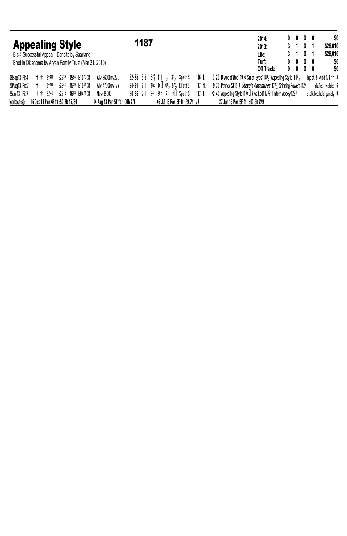| <b>Appealing Style</b><br>B.c.4 Successful Appeal - Dancita by Saarland |                                  |        |  |                                |                               |             | 1187 |  |                                                                                                |        |                                                                 | 2014:<br>2013:<br>Life: |  | $0\ 0\ 0\ 0$<br>3 1 0<br>3101                                  |  | \$26,010<br>\$26,010              | \$0        |
|-------------------------------------------------------------------------|----------------------------------|--------|--|--------------------------------|-------------------------------|-------------|------|--|------------------------------------------------------------------------------------------------|--------|-----------------------------------------------------------------|-------------------------|--|----------------------------------------------------------------|--|-----------------------------------|------------|
| Bred in Oklahoma by Aryan Family Trust (Mar 21, 2010)                   |                                  |        |  |                                |                               |             |      |  |                                                                                                |        |                                                                 | Turf:<br>Off Track:     |  | $0\quad 0\quad 0\quad 0\quad$<br>$0\quad 0\quad 0\quad 0\quad$ |  |                                   | \$0<br>SO. |
| 08Sep13 Pid4                                                            | ft $\textcircled{*}$ 6f48        |        |  | :2237 :4584 1:1070 31          | Alw 36000nw2/L                |             |      |  | 82-85 35 5 <sup>2</sup> / <sub>3</sub> 41 <sub>4</sub> 1 <sub>3</sub> 31 <sub>3</sub> Spieth S | 116 L  | 3.20 D'wop d'Wop119hd Simon Eyes11811 Appealing Style11621      |                         |  |                                                                |  | imp st, $3-w$ bid $1/4$ , flt $8$ |            |
| 20Aug13 Prx7                                                            | ft                               | fif 40 |  | $:22^{40}:45^{29}:1:10^{44}31$ | Alw 47000nw1/x                |             |      |  | 94-91 21 1hd 4nu 411 571 Elliott S                                                             | 117 fl | 9.70 Patrick S11514 Steve's Adventures11713 Shinning Powers1124 |                         |  |                                                                |  | dueled, yielded 6                 |            |
| 25Ju113 Pid7                                                            | $ft$ $\&$ 5%40                   |        |  | :2216:46081:04713              | Msw 35000                     | 80-85 71 34 |      |  | 2hd 12 1nu SpiethS                                                                             | 117 L  | *2.40 Appealing Style117nµ Viva Lad1174½ Tintern Abbey1221      |                         |  |                                                                |  | stalk, led, held gamely 9         |            |
| Workout(s):                                                             | 16 Oct 13 Pen 4F ft :50.3b 16/30 |        |  |                                | 14 Aug 13 Pen 5F ft 1:01h 2/6 |             |      |  | ●5 Jul 13 Pen 5F ft :59.2h 1/7                                                                 |        | 27 Jun 13 Pen 5F ft 1:00.3h 2/9                                 |                         |  |                                                                |  |                                   |            |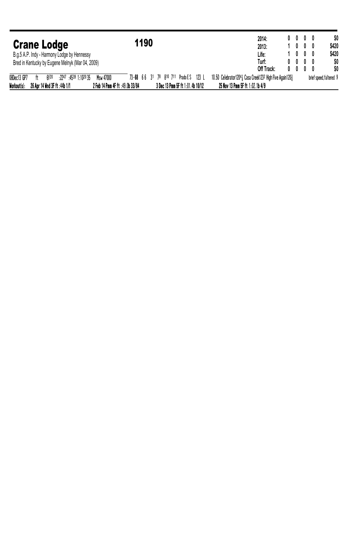|                                                   |                                                                     | 2014:                                                    | $0\quad 0\quad 0\quad 0\quad$ |  | \$0                     |
|---------------------------------------------------|---------------------------------------------------------------------|----------------------------------------------------------|-------------------------------|--|-------------------------|
| <b>Crane Lodge</b>                                | 1190                                                                | 2013:                                                    | $0\quad 0\quad 0$             |  | \$420                   |
| B.g.5 A.P. Indy - Harmony Lodge by Hennessy       |                                                                     | Life:                                                    | $0\quad 0\quad 0$             |  | \$420                   |
| Bred in Kentucky by Eugene Melnyk (Mar 04, 2009)  |                                                                     | Turf:                                                    | $0\quad 0\quad 0\quad 0\quad$ |  | \$0                     |
|                                                   |                                                                     | Off Track:<br>0                                          | $0\quad 0\quad 0\quad$        |  | \$O                     |
| 08Dec13 GP7<br>:2247:4539:1:102035<br>6f20<br>ft. | Msw 47000<br>73-68 66 31 78 810 711 Prado ES 123 L                  | 10.50 Celebrator12041 Casa Creek1232 High Five Again1203 |                               |  | brief speed, faltered 9 |
| Workout(s):<br>26 Apr 14 Wnd 3F ft :44b 1/1       | 3 Dec 13 Pmm 5F ft 1:01.4b 10/12<br>2 Feb 14 Pmm 4F ft :49.0b 33/84 | 25 Nov 13 Pmm 5F ft 1:02.1b 4/9                          |                               |  |                         |